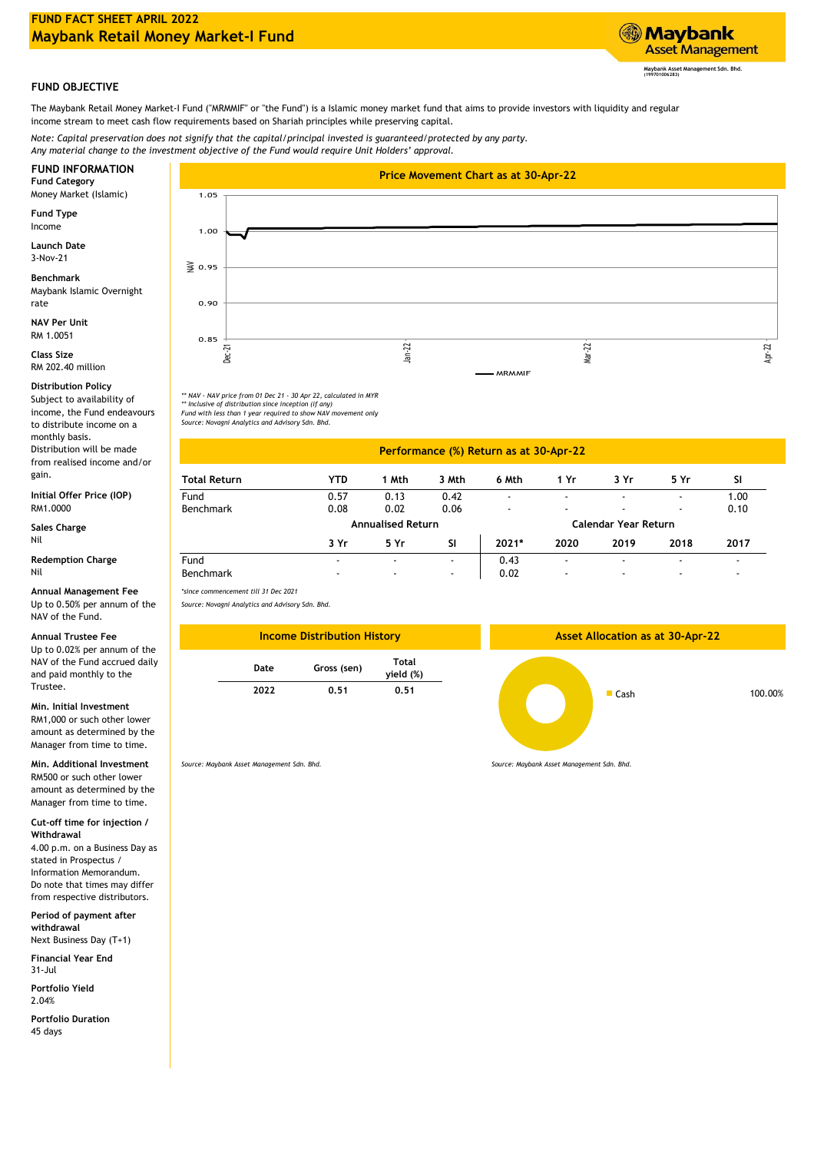

## **FUND OBJECTIVE**

The Maybank Retail Money Market-I Fund ("MRMMIF" or "the Fund") is a Islamic money market fund that aims to provide investors with liquidity and regular income stream to meet cash flow requirements based on Shariah principles while preserving capital.

*Note: Capital preservation does not signify that the capital/principal invested is guaranteed/protected by any party. Any material change to the investment objective of the Fund would require Unit Holders' approval.*

Money Market (Islamic)

**Fund Type** Income

**Launch Date** 3-Nov-21

Maybank Islamic Overnight rate **Benchmark**

**NAV Per Unit** RM 1.0051

**Class Size** RM 202.40 million

## **Distribution Policy**

Subject to availability of income, the Fund endeavours to distribute income on a monthly basis. Distribution will be made

from realised income and/or gain.

RM1.0000 **Initial Offer Price (IOP)**

Nil **Sales Charge**

**Redemption Charge** Nil

**Annual Management Fee**

Up to 0.50% per annum of the NAV of the Fund.

## **Annual Trustee Fee**

Up to 0.02% per annum of the NAV of the Fund accrued daily and paid monthly to the Trustee.

## **Min. Initial Investment**

RM1,000 or such other lower amount as determined by the Manager from time to time.

**Min. Additional Investment** RM500 or such other lower amount as determined by the Manager from time to time.

**Cut-off time for injection / Withdrawal**

4.00 p.m. on a Business Day as stated in Prospectus / Information Memorandum. Do note that times may differ from respective distributors.

**Period of payment after withdrawal**

**Financial Year End** Next Business Day (T+1)

31-Jul **Portfolio Yield**

2.04%

**Portfolio Duration** 45 days



*\*\* NAV - NAV price from 01 Dec 21 - 30 Apr 22, calculated in MYR \*\* Inclusive of distribution since inception (if any)*

*Fund with less than 1 year required to show NAV movement only Source: Novagni Analytics and Advisory Sdn. Bhd.*

| <b>Total Return</b> | YTD                      | 1 Mth          | 3 Mth     | 6 Mth                | 1 Yr                     | 3 Yr                     | 5 Yr                     | <b>SI</b>                |
|---------------------|--------------------------|----------------|-----------|----------------------|--------------------------|--------------------------|--------------------------|--------------------------|
| Fund                | 0.57                     | 0.13           | 0.42      | ۰                    | $\overline{\phantom{a}}$ | $\overline{\phantom{a}}$ | ٠                        | 1.00                     |
| Benchmark           | 0.08                     | 0.02           | 0.06      | $\blacksquare$       | $\overline{\phantom{a}}$ | $\overline{\phantom{a}}$ | $\overline{\phantom{a}}$ | 0.10                     |
|                     | <b>Annualised Return</b> |                |           | Calendar Year Return |                          |                          |                          |                          |
|                     | 3 Yr                     | 5 Yr           | <b>SI</b> | 2021*                | 2020                     | 2019                     | 2018                     | 2017                     |
| Fund                | ۰                        |                | ۰.        | 0.43                 | $\overline{\phantom{a}}$ | $\overline{\phantom{a}}$ |                          | $\overline{\phantom{a}}$ |
| Benchmark           | $\overline{\phantom{a}}$ | $\blacksquare$ | ۰         | 0.02                 | $\overline{\phantom{a}}$ | ۰                        | ٠                        | $\overline{\phantom{a}}$ |

**Performance (%) Return as at 30-Apr-22**

*\*since commencement till 31 Dec 2021*

*Source: Novagni Analytics and Advisory Sdn. Bhd.*



*Source: Maybank Asset Management Sdn. Bhd.*

*Source: Maybank Asset Management Sdn. Bhd.*